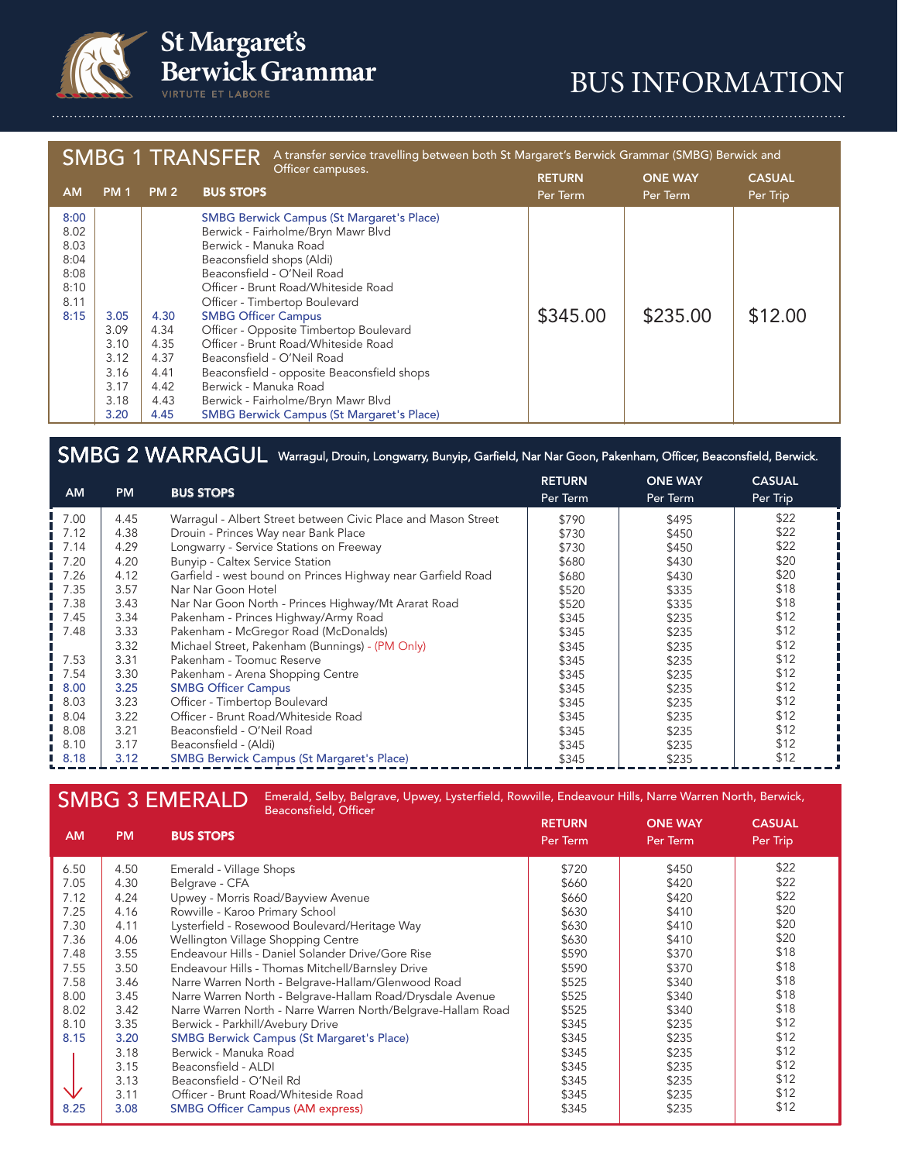

**St Margaret's<br>Berwick Grammar VIRTUTE ET LABORE** 

# BUS INFORMATION

| A transfer service travelling between both St Margaret's Berwick Grammar (SMBG) Berwick and<br><b>SMBG 1 TRANSFER</b> |                                                              |                                                              |                                                                                                                                                                                                                                                                                                                                                                                                                                                                                                                                                                  |                           |                            |                           |  |
|-----------------------------------------------------------------------------------------------------------------------|--------------------------------------------------------------|--------------------------------------------------------------|------------------------------------------------------------------------------------------------------------------------------------------------------------------------------------------------------------------------------------------------------------------------------------------------------------------------------------------------------------------------------------------------------------------------------------------------------------------------------------------------------------------------------------------------------------------|---------------------------|----------------------------|---------------------------|--|
| <b>AM</b>                                                                                                             | <b>PM1</b>                                                   | <b>PM 2</b>                                                  | Officer campuses.<br><b>BUS STOPS</b>                                                                                                                                                                                                                                                                                                                                                                                                                                                                                                                            | <b>RETURN</b><br>Per Term | <b>ONE WAY</b><br>Per Term | <b>CASUAL</b><br>Per Trip |  |
| 8:00<br>8.02<br>8.03<br>8:04<br>8:08<br>8:10<br>8.11<br>8:15                                                          | 3.05<br>3.09<br>3.10<br>3.12<br>3.16<br>3.17<br>3.18<br>3.20 | 4.30<br>4.34<br>4.35<br>4.37<br>4.41<br>4.42<br>4.43<br>4.45 | <b>SMBG Berwick Campus (St Margaret's Place)</b><br>Berwick - Fairholme/Bryn Mawr Blvd<br>Berwick - Manuka Road<br>Beaconsfield shops (Aldi)<br>Beaconsfield - O'Neil Road<br>Officer - Brunt Road/Whiteside Road<br>Officer - Timbertop Boulevard<br><b>SMBG Officer Campus</b><br>Officer - Opposite Timbertop Boulevard<br>Officer - Brunt Road/Whiteside Road<br>Beaconsfield - O'Neil Road<br>Beaconsfield - opposite Beaconsfield shops<br>Berwick - Manuka Road<br>Berwick - Fairholme/Bryn Mawr Blvd<br><b>SMBG Berwick Campus (St Margaret's Place)</b> | \$345.00                  | \$235.00                   | \$12.00                   |  |

## SMBG 2 WARRAGUL Warragul, Drouin, Longwarry, Bunyip, Garfield, Nar Nar Goon, Pakenham, Officer, Beaconsfield, Berwick.

| <b>AM</b> | <b>PM</b> | <b>BUS STOPS</b>                                              | <b>RETURN</b><br>Per Term | <b>ONE WAY</b><br>Per Term | <b>CASUAL</b><br>Per Trip |
|-----------|-----------|---------------------------------------------------------------|---------------------------|----------------------------|---------------------------|
| 7.00      | 4.45      | Warragul - Albert Street between Civic Place and Mason Street | \$790                     | \$495                      | \$22                      |
| 7.12      | 4.38      | Drouin - Princes Way near Bank Place                          | \$730                     | \$450                      | \$22                      |
| 7.14      | 4.29      | Longwarry - Service Stations on Freeway                       | \$730                     | \$450                      | \$22                      |
| 7.20      | 4.20      | <b>Bunyip - Caltex Service Station</b>                        | \$680                     | \$430                      | \$20                      |
| 7.26      | 4.12      | Garfield - west bound on Princes Highway near Garfield Road   | \$680                     | \$430                      | \$20                      |
| 7.35      | 3.57      | Nar Nar Goon Hotel                                            | \$520                     | \$335                      | \$18                      |
| 7.38      | 3.43      | Nar Nar Goon North - Princes Highway/Mt Ararat Road           | \$520                     | \$335                      | \$18                      |
| 7.45      | 3.34      | Pakenham - Princes Highway/Army Road                          | \$345                     | \$235                      | \$12                      |
| 7.48      | 3.33      | Pakenham - McGregor Road (McDonalds)                          | \$345                     | \$235                      | \$12                      |
|           | 3.32      | Michael Street, Pakenham (Bunnings) - (PM Only)               | \$345                     | \$235                      | \$12                      |
| 7.53      | 3.31      | Pakenham - Toomuc Reserve                                     | \$345                     | \$235                      | \$12                      |
| 7.54      | 3.30      | Pakenham - Arena Shopping Centre                              | \$345                     | \$235                      | \$12                      |
| 8.00      | 3.25      | <b>SMBG Officer Campus</b>                                    | \$345                     | \$235                      | \$12                      |
| 8.03      | 3.23      | Officer - Timbertop Boulevard                                 | \$345                     | \$235                      | \$12                      |
| 8.04      | 3.22      | Officer - Brunt Road/Whiteside Road                           | \$345                     | \$235                      | \$12                      |
| 8.08      | 3.21      | Beaconsfield - O'Neil Road                                    | \$345                     | \$235                      | \$12                      |
| 8.10      | 3.17      | Beaconsfield - (Aldi)                                         | \$345                     | \$235                      | \$12                      |
| 18.18     | 3.12      | <b>SMBG Berwick Campus (St Margaret's Place)</b>              | \$345                     | \$235                      | \$12                      |

### SMBG 3 EMERALD Emerald, Selby, Belgrave, Upwey, Lysterfield, Rowville, Endeavour Hills, Narre Warren North, Berwick, Beaconsfield, Officer

| <b>AM</b>                                                                                            | <b>PM</b>                                                                                                                            | <b>BUS STOPS</b>                                                                                                                                                                                                                                                                                                                                                                                                                                                                                                                                                                                                                                                                                                 | <b>RETURN</b><br>Per Term                                                                                                                             | <b>ONE WAY</b><br>Per Term                                                                                                                            | <b>CASUAL</b><br>Per Trip                                                                                                            |
|------------------------------------------------------------------------------------------------------|--------------------------------------------------------------------------------------------------------------------------------------|------------------------------------------------------------------------------------------------------------------------------------------------------------------------------------------------------------------------------------------------------------------------------------------------------------------------------------------------------------------------------------------------------------------------------------------------------------------------------------------------------------------------------------------------------------------------------------------------------------------------------------------------------------------------------------------------------------------|-------------------------------------------------------------------------------------------------------------------------------------------------------|-------------------------------------------------------------------------------------------------------------------------------------------------------|--------------------------------------------------------------------------------------------------------------------------------------|
| 6.50<br>7.05<br>7.12<br>7.25<br>7.30<br>7.36<br>7.48<br>7.55<br>7.58<br>8.00<br>8.02<br>8.10<br>8.15 | 4.50<br>4.30<br>4.24<br>4.16<br>4.11<br>4.06<br>3.55<br>3.50<br>3.46<br>3.45<br>3.42<br>3.35<br>3.20<br>3.18<br>3.15<br>3.13<br>3.11 | Emerald - Village Shops<br>Belgrave - CFA<br>Upwey - Morris Road/Bayview Avenue<br>Rowville - Karoo Primary School<br>Lysterfield - Rosewood Boulevard/Heritage Way<br>Wellington Village Shopping Centre<br>Endeavour Hills - Daniel Solander Drive/Gore Rise<br>Endeavour Hills - Thomas Mitchell/Barnsley Drive<br>Narre Warren North - Belgrave-Hallam/Glenwood Road<br>Narre Warren North - Belgrave-Hallam Road/Drysdale Avenue<br>Narre Warren North - Narre Warren North/Belgrave-Hallam Road<br>Berwick - Parkhill/Avebury Drive<br><b>SMBG Berwick Campus (St Margaret's Place)</b><br>Berwick - Manuka Road<br>Beaconsfield - ALDI<br>Beaconsfield - O'Neil Rd<br>Officer - Brunt Road/Whiteside Road | \$720<br>\$660<br>\$660<br>\$630<br>\$630<br>\$630<br>\$590<br>\$590<br>\$525<br>\$525<br>\$525<br>\$345<br>\$345<br>\$345<br>\$345<br>\$345<br>\$345 | \$450<br>\$420<br>\$420<br>\$410<br>\$410<br>\$410<br>\$370<br>\$370<br>\$340<br>\$340<br>\$340<br>\$235<br>\$235<br>\$235<br>\$235<br>\$235<br>\$235 | \$22<br>\$22<br>\$22<br>\$20<br>\$20<br>\$20<br>\$18<br>\$18<br>\$18<br>\$18<br>\$18<br>\$12<br>\$12<br>\$12<br>\$12<br>\$12<br>\$12 |
| 8.25                                                                                                 | 3.08                                                                                                                                 | <b>SMBG Officer Campus (AM express)</b>                                                                                                                                                                                                                                                                                                                                                                                                                                                                                                                                                                                                                                                                          | \$345                                                                                                                                                 | \$235                                                                                                                                                 | \$12                                                                                                                                 |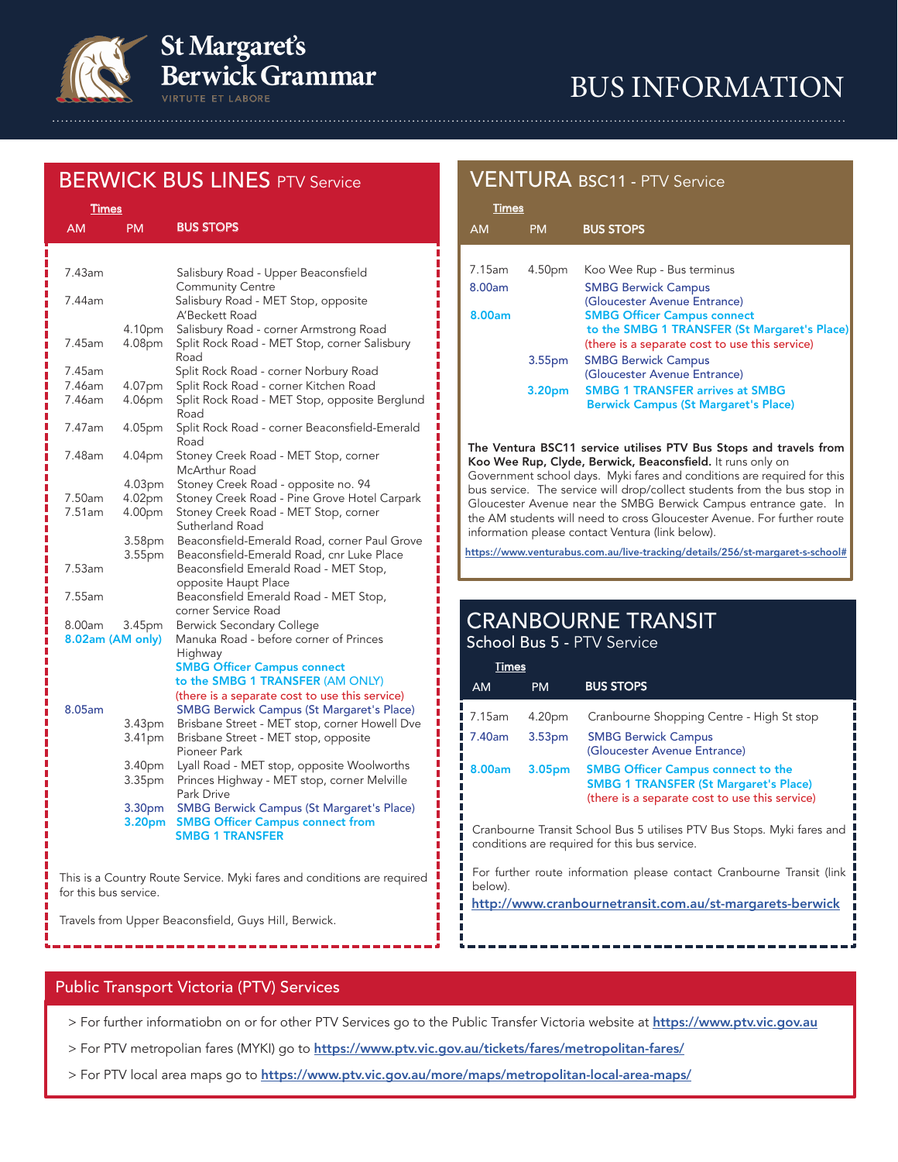

# **St Margaret's Berwick Grammar**

# BUS INFORMATION

## **BERWICK BUS LINES PTV Service**

| <b>Times</b>     |                                          |                                                                                                                       |  |  |
|------------------|------------------------------------------|-----------------------------------------------------------------------------------------------------------------------|--|--|
| <b>AM</b>        | <b>PM</b>                                | <b>BUS STOPS</b>                                                                                                      |  |  |
|                  |                                          |                                                                                                                       |  |  |
| 7.43am           |                                          | Salisbury Road - Upper Beaconsfield<br><b>Community Centre</b>                                                        |  |  |
| 7.44am           |                                          | Salisbury Road - MET Stop, opposite<br>A'Beckett Road                                                                 |  |  |
| 7.45am           | 4.10pm<br>4.08pm                         | Salisbury Road - corner Armstrong Road<br>Split Rock Road - MET Stop, corner Salisbury<br>Road                        |  |  |
| 7.45am           |                                          | Split Rock Road - corner Norbury Road                                                                                 |  |  |
| 7.46am<br>7.46am | 4.07pm<br>4.06pm                         | Split Rock Road - corner Kitchen Road<br>Split Rock Road - MET Stop, opposite Berglund<br>Road                        |  |  |
| 7.47am           | 4.05pm                                   | Split Rock Road - corner Beaconsfield-Emerald<br>Road                                                                 |  |  |
| 7.48am           | 4.04pm                                   | Stoney Creek Road - MET Stop, corner<br>McArthur Road                                                                 |  |  |
| 7.50am           | 4.03pm<br>4.02pm                         | Stoney Creek Road - opposite no. 94<br>Stoney Creek Road - Pine Grove Hotel Carpark                                   |  |  |
| 7.51am           | 4.00pm                                   | Stoney Creek Road - MET Stop, corner<br>Sutherland Road                                                               |  |  |
|                  | 3.58 <sub>pm</sub><br>3.55 <sub>pm</sub> | Beaconsfield-Emerald Road, corner Paul Grove<br>Beaconsfield-Emerald Road, cnr Luke Place                             |  |  |
| 7.53am           |                                          | Beaconsfield Emerald Road - MET Stop,<br>opposite Haupt Place                                                         |  |  |
| 7.55am           |                                          | Beaconsfield Emerald Road - MET Stop,<br>corner Service Road                                                          |  |  |
| 8.00am           | 3.45pm                                   | <b>Berwick Secondary College</b>                                                                                      |  |  |
| 8.02am (AM only) |                                          | Manuka Road - before corner of Princes<br>Highway                                                                     |  |  |
|                  |                                          | <b>SMBG Officer Campus connect</b><br>to the SMBG 1 TRANSFER (AM ONLY)                                                |  |  |
| 8.05am           |                                          | (there is a separate cost to use this service)<br><b>SMBG Berwick Campus (St Margaret's Place)</b>                    |  |  |
|                  | 3.43pm<br>3.41pm                         | Brisbane Street - MET stop, corner Howell Dve<br>Brisbane Street - MET stop, opposite<br>Pioneer Park                 |  |  |
|                  | 3.40pm<br>3.35pm                         | Lyall Road - MET stop, opposite Woolworths<br>Princes Highway - MET stop, corner Melville<br>Park Drive               |  |  |
|                  | 3.30 <sub>pm</sub><br>3.20 <sub>pm</sub> | <b>SMBG Berwick Campus (St Margaret's Place)</b><br><b>SMBG Officer Campus connect from</b><br><b>SMBG 1 TRANSFER</b> |  |  |

This is a Country Route Service. Myki fares and conditions are required for this bus service.

Travels from Upper Beaconsfield, Guys Hill, Berwick.

## VENTURA BSC11 - PTV Service

| <b>Times</b>       |                                                |
|--------------------|------------------------------------------------|
| <b>PM</b>          | <b>BUS STOPS</b>                               |
|                    |                                                |
| 4.50pm             | Koo Wee Rup - Bus terminus                     |
|                    | <b>SMBG Berwick Campus</b>                     |
|                    | (Gloucester Avenue Entrance)                   |
|                    | <b>SMBG Officer Campus connect</b>             |
|                    | to the SMBG 1 TRANSFER (St Margaret's Place)   |
|                    | (there is a separate cost to use this service) |
| 3.55 <sub>pm</sub> | <b>SMBG Berwick Campus</b>                     |
|                    | (Gloucester Avenue Entrance)                   |
| 3.20 <sub>pm</sub> | <b>SMBG 1 TRANSFER arrives at SMBG</b>         |
|                    | <b>Berwick Campus (St Margaret's Place)</b>    |
|                    |                                                |

The Ventura BSC11 service utilises PTV Bus Stops and travels from Koo Wee Rup, Clyde, Berwick, Beaconsfield. It runs only on

Government school days. Myki fares and conditions are required for this bus service. The service will drop/collect students from the bus stop in Gloucester Avenue near the SMBG Berwick Campus entrance gate. In the AM students will need to cross Gloucester Avenue. For further route information please contact Ventura (link below).

https://www.venturabus.com.au/live-tracking/details/256/st-margaret-s-school#

# CRANBOURNE TRANSIT

School Bus 5 - PTV Service

| Times           |                    |                                                                                                                                             |
|-----------------|--------------------|---------------------------------------------------------------------------------------------------------------------------------------------|
| <b>AM</b>       | <b>PM</b>          | <b>BUS STOPS</b>                                                                                                                            |
| ■ 7.15am        | 4.20pm             | Cranbourne Shopping Centre - High St stop                                                                                                   |
| <b>1</b> 7.40am | 3.53 <sub>pm</sub> | <b>SMBG Berwick Campus</b><br>(Gloucester Avenue Entrance)                                                                                  |
| 8.00am          | 3.05 <sub>pm</sub> | <b>SMBG Officer Campus connect to the</b><br><b>SMBG 1 TRANSFER (St Margaret's Place)</b><br>(there is a separate cost to use this service) |
|                 |                    | Cranbourne Transit School Bus 5 utilises PTV Bus Stops. Myki fares and                                                                      |

Cranbourne Transit School Bus 5 utilises PTV Bus Stops. Myki fares and conditions are required for this bus service.

For further route information please contact Cranbourne Transit (link below).

http://www.cranbournetransit.com.au/st-margarets-berwick

## Public Transport Victoria (PTV) Services

> For further informatiobn on or for other PTV Services go to the Public Transfer Victoria website at https://www.ptv.vic.gov.au

- > For PTV metropolian fares (MYKI) go to https://www.ptv.vic.gov.au/tickets/fares/metropolitan-fares/
- > For PTV local area maps go to https://www.ptv.vic.gov.au/more/maps/metropolitan-local-area-maps/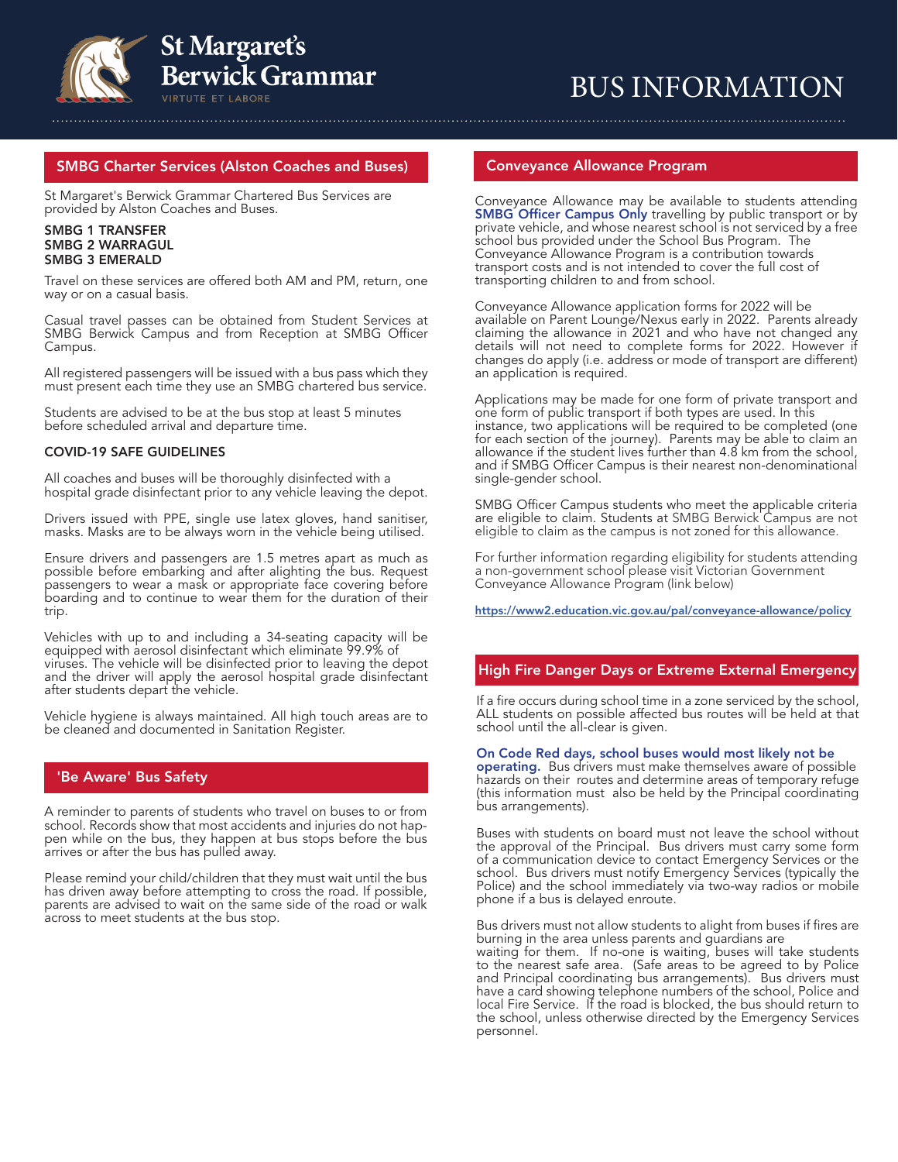

# BUS INFORMATION

#### SMBG Charter Services (Alston Coaches and Buses)

St Margaret's Berwick Grammar Chartered Bus Services are provided by Alston Coaches and Buses.

#### SMBG 1 TRANSFER SMBG 2 WARRAGUL SMBG 3 EMERALD

Travel on these services are offered both AM and PM, return, one way or on a casual basis.

Casual travel passes can be obtained from Student Services at SMBG Berwick Campus and from Reception at SMBG Officer Campus.

All registered passengers will be issued with a bus pass which they must present each time they use an SMBG chartered bus service.

Students are advised to be at the bus stop at least 5 minutes before scheduled arrival and departure time.

#### COVID-19 SAFE GUIDELINES

All coaches and buses will be thoroughly disinfected with a hospital grade disinfectant prior to any vehicle leaving the depot.

Drivers issued with PPE, single use latex gloves, hand sanitiser, masks. Masks are to be always worn in the vehicle being utilised.

Ensure drivers and passengers are 1.5 metres apart as much as possible before embarking and after alighting the bus. Request passengers to wear a mask or appropriate face covering before boarding and to continue to wear them for the duration of their trip.

Vehicles with up to and including a 34-seating capacity will be equipped with aerosol disinfectant which eliminate 99.9% of viruses. The vehicle will be disinfected prior to leaving the depot and the driver will apply the aerosol hospital grade disinfectant after students depart the vehicle.

Vehicle hygiene is always maintained. All high touch areas are to be cleaned and documented in Sanitation Register.

#### 'Be Aware' Bus Safety

A reminder to parents of students who travel on buses to or from school. Record's show that most accidents and injuries do not happen while on the bus, they happen at bus stops before the bus arrives or after the bus has pulled away.

Please remind your child/children that they must wait until the bus has driven away before attempting to cross the road. If possible, parents are advised to wait on the same side of the road or walk across to meet students at the bus stop.

#### Conveyance Allowance Program

Conveyance Allowance may be available to students attending **SMBG Officer Campus Only** travelling by public transport or by private vehicle, and whose nearest school is not serviced by a free school bus provided under the School Bus Program. The Conveyance Allowance Program is a contribution towards transport costs and is not intended to cover the full cost of transporting children to and from school.

Conveyance Allowance application forms for 2022 will be available on Parent Lounge/Nexus early in 2022. Parents already claiming the allowance in 2021 and who have not changed any details will not need to complete forms for 2022. However if changes do apply (i.e. address or mode of transport are different) an application is required.

Applications may be made for one form of private transport and one form of public transport if both types are used. In this instance, two applications will be required to be completed (one for each section of the journey). Parents may be able to claim an allowance if the student lives further than 4.8 km from the school, and if SMBG Officer Campus is their nearest non-denominational single-gender school.

SMBG Officer Campus students who meet the applicable criteria are eligible to claim. Students at SMBG Berwick Campus are not eligible to claim as the campus is not zoned for this allowance.

For further information regarding eligibility for students attending a non-government school please visit Victorian Government Conveyance Allowance Program (link below)

https://www2.education.vic.gov.au/pal/conveyance-allowance/policy

### High Fire Danger Days or Extreme External Emergency

If a fire occurs during school time in a zone serviced by the school, ALL students on possible affected bus routes will be held at that school until the all-clear is given. High Fire Danger Days or Extreme External Emergency

#### On Code Red days, school buses would most likely not be

operating. Bus drivers must make themselves aware of possible hazards on their routes and determine areas of temporary refuge (this information must also be held by the Principal coordinating bus arrangements).

Buses with students on board must not leave the school without the approval of the Principal. Bus drivers must carry some form of a communication device to contact Emergency Services or the school. Bus drivers must notify Emergency Services (typically the Police) and the school immediately via two-way radios or mobile phone if a bus is delayed enroute.

Bus drivers must not allow students to alight from buses if fires are burning in the area unless parents and guardians are

waiting for them. If no-one is waiting, buses will take students to the nearest safe area. (Safe areas to be agreed to by Police and Principal coordinating bus arrangements). Bus drivers must have a card showing telephone numbers of the school, Police and local Fire Service. If the road is blocked, the bus should return to the school, unless otherwise directed by the Emergency Services personnel.